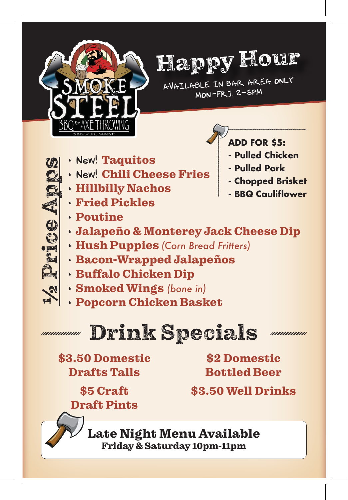



AVAILABLE IN BAR AREA ONLY MON-FRI 2-5PM

> **ADD FOR \$5: - Pulled Chicken - Pulled Pork - Chopped Brisket - BBQ Cauliflower**

- New! Taquitos
- New! Chili Cheese Fries
- Hillbilly Nachos
- Fried Pickles
- Poutine
- Jalapeño & Monterey Jack Cheese Dip
- Hush Puppies *(Corn Bread Fritters)*
- Bacon-Wrapped Jalapeños
- Buffalo Chicken Dip
- 
- 

## Drink Specials

\$3.50 Domestic Drafts Talls

\$2 Domestic Bottled Beer

\$5 Craft Draft Pints \$3.50 Well Drinks

Late Night Menu Available Friday & Saturday 10pm-11pm